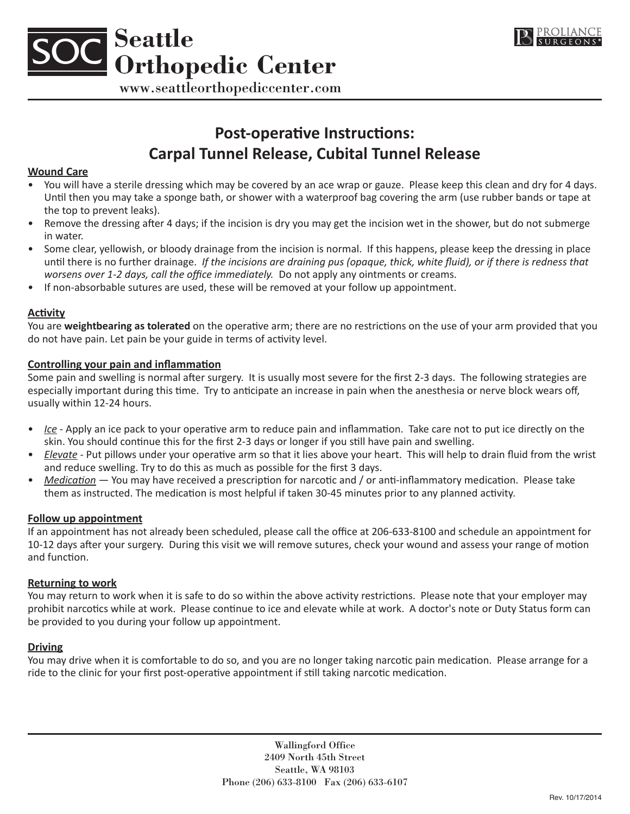



www.seattleorthopediccenter.com

# **Post-operative Instructions: Carpal Tunnel Release, Cubital Tunnel Release**

## **Wound Care**

- You will have a sterile dressing which may be covered by an ace wrap or gauze. Please keep this clean and dry for 4 days. Until then you may take a sponge bath, or shower with a waterproof bag covering the arm (use rubber bands or tape at the top to prevent leaks).
- Remove the dressing after 4 days; if the incision is dry you may get the incision wet in the shower, but do not submerge in water.
- • Some clear, yellowish, or bloody drainage from the incision is normal. If this happens, please keep the dressing in place until there is no further drainage. *If the incisions are draining pus (opaque, thick, white fluid), or if there is redness that worsens over 1-2 days, call the office immediately.* Do not apply any ointments or creams.
- If non-absorbable sutures are used, these will be removed at your follow up appointment.

## **Activity**

You are **weightbearing as tolerated** on the operative arm; there are no restrictions on the use of your arm provided that you do not have pain. Let pain be your guide in terms of activity level.

## **Controlling your pain and inflammation**

Some pain and swelling is normal after surgery. It is usually most severe for the first 2-3 days. The following strategies are especially important during this time. Try to anticipate an increase in pain when the anesthesia or nerve block wears off, usually within 12-24 hours.

- *Ice* Apply an ice pack to your operative arm to reduce pain and inflammation. Take care not to put ice directly on the skin. You should continue this for the first 2-3 days or longer if you still have pain and swelling.
- *Elevate* Put pillows under your operative arm so that it lies above your heart. This will help to drain fluid from the wrist and reduce swelling. Try to do this as much as possible for the first 3 days.
- *Medication* You may have received a prescription for narcotic and / or anti-inflammatory medication. Please take them as instructed. The medication is most helpful if taken 30-45 minutes prior to any planned activity.

#### **Follow up appointment**

If an appointment has not already been scheduled, please call the office at 206-633-8100 and schedule an appointment for 10-12 days after your surgery. During this visit we will remove sutures, check your wound and assess your range of motion and function.

#### **Returning to work**

You may return to work when it is safe to do so within the above activity restrictions. Please note that your employer may prohibit narcotics while at work. Please continue to ice and elevate while at work. A doctor's note or Duty Status form can be provided to you during your follow up appointment.

#### **Driving**

You may drive when it is comfortable to do so, and you are no longer taking narcotic pain medication. Please arrange for a ride to the clinic for your first post-operative appointment if still taking narcotic medication.